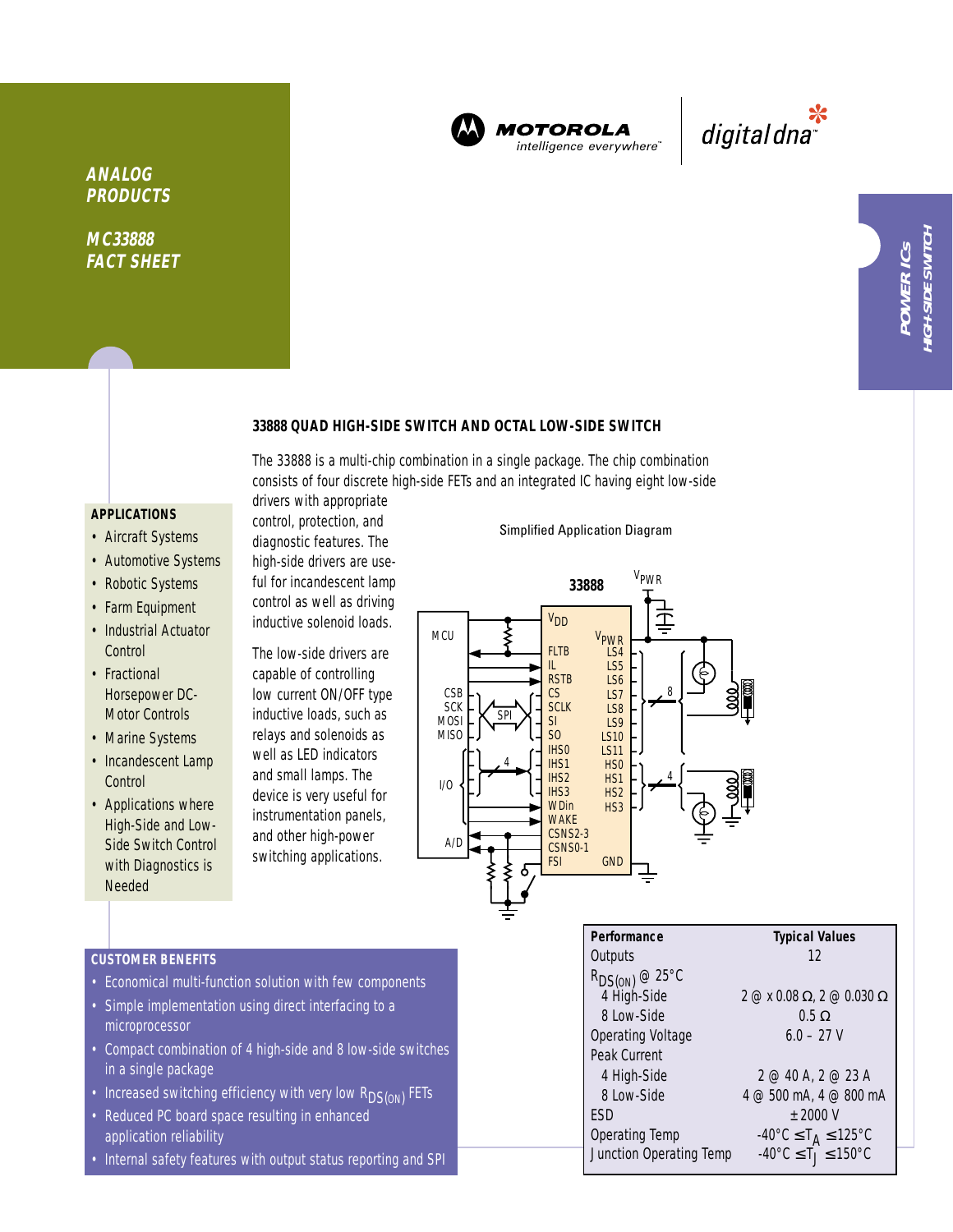

**MOTOROLA** intelligence everywhere<sup>®</sup>

\*<br>"digital dna

# **33888 QUAD HIGH-SIDE SWITCH AND OCTAL LOW-SIDE SWITCH**

The 33888 is a multi-chip combination in a single package. The chip combination consists of four discrete high-side FETs and an integrated IC having eight low-side drivers with appropriate

## **APPLICATIONS**

**ANALOG PRODUCTS**

**MC33888 FACT SHEET**

- Aircraft Systems
- Automotive Systems
- Robotic Systems
- Farm Equipment
- Industrial Actuator **Control**
- Fractional Horsepower DC-Motor Controls
- Marine Systems
- Incandescent Lamp **Control**
- Applications where High-Side and Low-Side Switch Control with Diagnostics is Needed

ful for incandescent lamp control as well as driving inductive solenoid loads. The low-side drivers are capable of controlling low current ON/OFF type

control, protection, and diagnostic features. The high-side drivers are use-

inductive loads, such as relays and solenoids as well as LED indicators and small lamps. The device is very useful for instrumentation panels, and other high-power switching applications.

### Simplified Application Diagram



Junction Operating Temp

# **CUSTOMER BENEFITS**

- Economical multi-function solution with few components
- Simple implementation using direct interfacing to a microprocessor
- Compact combination of 4 high-side and 8 low-side switches in a single package
- Increased switching efficiency with very low  $R_{DS(ON)}$  FETs
- Reduced PC board space resulting in enhanced application reliability
- Internal safety features with output status reporting and SPI

| Performance              | <b>Typical Values</b>                                                             |
|--------------------------|-----------------------------------------------------------------------------------|
| Outputs                  | 12                                                                                |
| $R_{DS(ON)}$ @ 25°C      |                                                                                   |
| 4 High-Side              | $2 \text{ } \textcircled{2}$ x 0.08 $\Omega$ , 2 $\textcircled{2}$ 0.030 $\Omega$ |
| 8 Low-Side               | $0.5 \Omega$                                                                      |
| <b>Operating Voltage</b> | $6.0 - 27$ V                                                                      |
| Peak Current             |                                                                                   |
| 4 High-Side              | 2 @ 40 A, 2 @ 23 A                                                                |
| 8 Low-Side               | 4 @ 500 mA, 4 @ 800 mA                                                            |
| FSD                      | $\pm$ 2000 V                                                                      |

# Operating Temp  $-40^{\circ}C \le T_A \le 125^{\circ}C$ <br>Junction Operating Temp  $-40^{\circ}C \le T_J \le 150^{\circ}C$